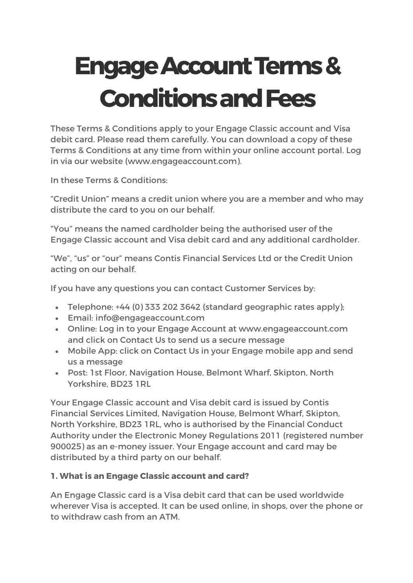# **EngageAccountTerms& ConditionsandFees**

These Terms & Conditions apply to your Engage Classic account and Visa debit card. Please read them carefully. You can download a copy of these Terms & Conditions at any time from within your online account portal. Log in via our website (www.engageaccount.com).

In these Terms & Conditions:

"Credit Union" means a credit union where you are a member and who may distribute the card to you on our behalf.

"You" means the named cardholder being the authorised user of the Engage Classic account and Visa debit card and any additional cardholder.

"We", "us" or "our" means Contis Financial Services Ltd or the Credit Union acting on our behalf.

If you have any questions you can contact Customer Services by:

- Telephone: +44 (0) 333 202 3642 (standard geographic rates apply);
- Email: info@engageaccount.com
- Online: Log in to your Engage Account at www.engageaccount.com and click on Contact Us to send us a secure message
- Mobile App: click on Contact Us in your Engage mobile app and send us a message
- Post: 1st Floor, Navigation House, Belmont Wharf, Skipton, North Yorkshire, BD23 1RL

Your Engage Classic account and Visa debit card is issued by Contis Financial Services Limited, Navigation House, Belmont Wharf, Skipton, North Yorkshire, BD23 1RL, who is authorised by the Financial Conduct Authority under the Electronic Money Regulations 2011 (registered number 900025) as an e-money issuer. Your Engage account and card may be distributed by a third party on our behalf.

# **1. What is an Engage Classic account and card?**

An Engage Classic card is a Visa debit card that can be used worldwide wherever Visa is accepted. It can be used online, in shops, over the phone or to withdraw cash from an ATM.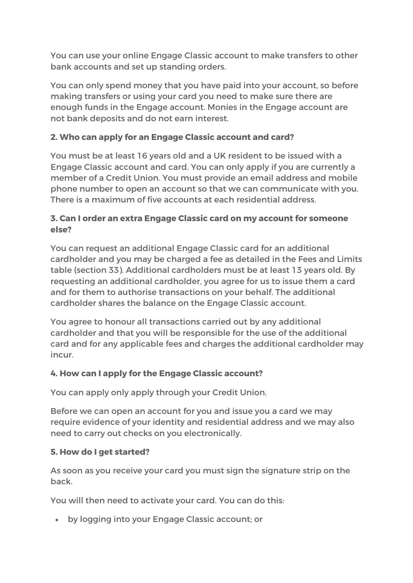You can use your online Engage Classic account to make transfers to other bank accounts and set up standing orders.

You can only spend money that you have paid into your account, so before making transfers or using your card you need to make sure there are enough funds in the Engage account. Monies in the Engage account are not bank deposits and do not earn interest.

## **2. Who can apply for an Engage Classic account and card?**

You must be at least 16 years old and a UK resident to be issued with a Engage Classic account and card. You can only apply if you are currently a member of a Credit Union. You must provide an email address and mobile phone number to open an account so that we can communicate with you. There is a maximum of five accounts at each residential address.

## **3. Can I order an extra Engage Classic card on my account for someone else?**

You can request an additional Engage Classic card for an additional cardholder and you may be charged a fee as detailed in the Fees and Limits table (section 33). Additional cardholders must be at least 13 years old. By requesting an additional cardholder, you agree for us to issue them a card and for them to authorise transactions on your behalf. The additional cardholder shares the balance on the Engage Classic account.

You agree to honour all transactions carried out by any additional cardholder and that you will be responsible for the use of the additional card and for any applicable fees and charges the additional cardholder may incur.

## **4. How can I apply for the Engage Classic account?**

You can apply only apply through your Credit Union.

Before we can open an account for you and issue you a card we may require evidence of your identity and residential address and we may also need to carry out checks on you electronically.

## **5. How do I get started?**

As soon as you receive your card you must sign the signature strip on the back.

You will then need to activate your card. You can do this:

• by logging into your Engage Classic account; or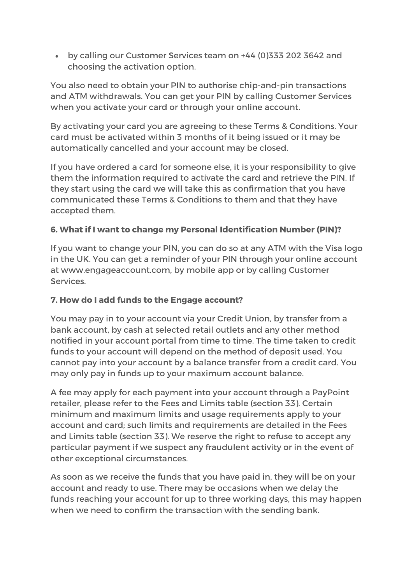• by calling our Customer Services team on +44 (0)333 202 3642 and choosing the activation option.

You also need to obtain your PIN to authorise chip-and-pin transactions and ATM withdrawals. You can get your PIN by calling Customer Services when you activate your card or through your online account.

By activating your card you are agreeing to these Terms & Conditions. Your card must be activated within 3 months of it being issued or it may be automatically cancelled and your account may be closed.

If you have ordered a card for someone else, it is your responsibility to give them the information required to activate the card and retrieve the PIN. If they start using the card we will take this as confirmation that you have communicated these Terms & Conditions to them and that they have accepted them.

## **6. What if I want to change my Personal Identification Number (PIN)?**

If you want to change your PIN, you can do so at any ATM with the Visa logo in the UK. You can get a reminder of your PIN through your online account at www.engageaccount.com, by mobile app or by calling Customer Services.

## **7. How do I add funds to the Engage account?**

You may pay in to your account via your Credit Union, by transfer from a bank account, by cash at selected retail outlets and any other method notified in your account portal from time to time. The time taken to credit funds to your account will depend on the method of deposit used. You cannot pay into your account by a balance transfer from a credit card. You may only pay in funds up to your maximum account balance.

A fee may apply for each payment into your account through a PayPoint retailer, please refer to the Fees and Limits table (section 33). Certain minimum and maximum limits and usage requirements apply to your account and card; such limits and requirements are detailed in the Fees and Limits table (section 33). We reserve the right to refuse to accept any particular payment if we suspect any fraudulent activity or in the event of other exceptional circumstances.

As soon as we receive the funds that you have paid in, they will be on your account and ready to use. There may be occasions when we delay the funds reaching your account for up to three working days, this may happen when we need to confirm the transaction with the sending bank.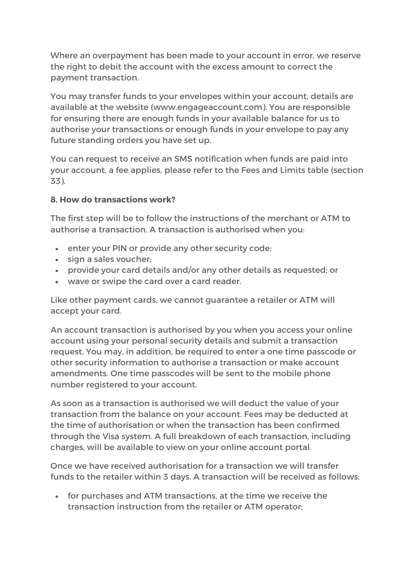Where an overpayment has been made to your account in error, we reserve the right to debit the account with the excess amount to correct the payment transaction.

You may transfer funds to your envelopes within your account, details are available at the website (www.engageaccount.com). You are responsible for ensuring there are enough funds in your available balance for us to authorise your transactions or enough funds in your envelope to pay any future standing orders you have set up.

You can request to receive an SMS notification when funds are paid into your account, a fee applies, please refer to the Fees and Limits table (section 33).

#### **8. How do transactions work?**

The first step will be to follow the instructions of the merchant or ATM to authorise a transaction. A transaction is authorised when you:

- enter your PIN or provide any other security code;
- sign a sales voucher;
- provide your card details and/or any other details as requested; or
- wave or swipe the card over a card reader.

Like other payment cards, we cannot guarantee a retailer or ATM will accept your card.

An account transaction is authorised by you when you access your online account using your personal security details and submit a transaction request. You may, in addition, be required to enter a one time passcode or other security information to authorise a transaction or make account amendments. One time passcodes will be sent to the mobile phone number registered to your account.

As soon as a transaction is authorised we will deduct the value of your transaction from the balance on your account. Fees may be deducted at the time of authorisation or when the transaction has been confirmed through the Visa system. A full breakdown of each transaction, including charges, will be available to view on your online account portal.

Once we have received authorisation for a transaction we will transfer funds to the retailer within 3 days. A transaction will be received as follows:

• for purchases and ATM transactions, at the time we receive the transaction instruction from the retailer or ATM operator;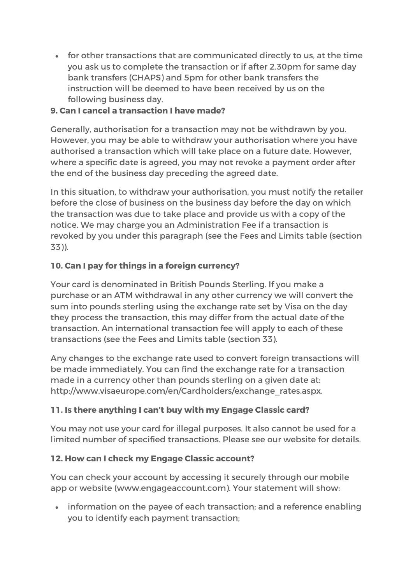• for other transactions that are communicated directly to us, at the time you ask us to complete the transaction or if after 2.30pm for same day bank transfers (CHAPS) and 5pm for other bank transfers the instruction will be deemed to have been received by us on the following business day.

## **9. Can I cancel a transaction I have made?**

Generally, authorisation for a transaction may not be withdrawn by you. However, you may be able to withdraw your authorisation where you have authorised a transaction which will take place on a future date. However, where a specific date is agreed, you may not revoke a payment order after the end of the business day preceding the agreed date.

In this situation, to withdraw your authorisation, you must notify the retailer before the close of business on the business day before the day on which the transaction was due to take place and provide us with a copy of the notice. We may charge you an Administration Fee if a transaction is revoked by you under this paragraph (see the Fees and Limits table (section 33)).

# **10. Can I pay for things in a foreign currency?**

Your card is denominated in British Pounds Sterling. If you make a purchase or an ATM withdrawal in any other currency we will convert the sum into pounds sterling using the exchange rate set by Visa on the day they process the transaction, this may differ from the actual date of the transaction. An international transaction fee will apply to each of these transactions (see the Fees and Limits table (section 33).

Any changes to the exchange rate used to convert foreign transactions will be made immediately. You can find the exchange rate for a transaction made in a currency other than pounds sterling on a given date at: http://www.visaeurope.com/en/Cardholders/exchange\_rates.aspx.

# **11. Is there anything I can't buy with my Engage Classic card?**

You may not use your card for illegal purposes. It also cannot be used for a limited number of specified transactions. Please see our website for details.

## **12. How can I check my Engage Classic account?**

You can check your account by accessing it securely through our mobile app or website (www.engageaccount.com). Your statement will show:

• information on the payee of each transaction; and a reference enabling you to identify each payment transaction;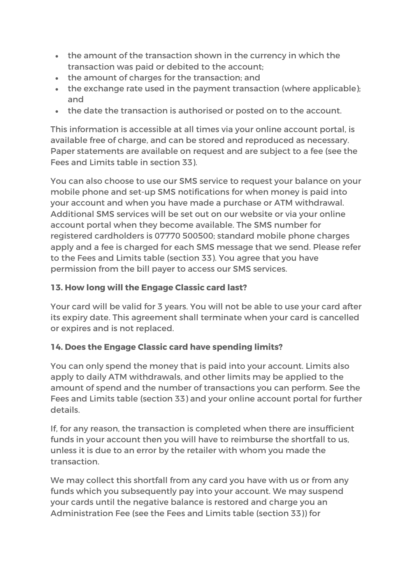- the amount of the transaction shown in the currency in which the transaction was paid or debited to the account;
- the amount of charges for the transaction; and
- the exchange rate used in the payment transaction (where applicable); and
- the date the transaction is authorised or posted on to the account.

This information is accessible at all times via your online account portal, is available free of charge, and can be stored and reproduced as necessary. Paper statements are available on request and are subject to a fee (see the Fees and Limits table in section 33).

You can also choose to use our SMS service to request your balance on your mobile phone and set-up SMS notifications for when money is paid into your account and when you have made a purchase or ATM withdrawal. Additional SMS services will be set out on our website or via your online account portal when they become available. The SMS number for registered cardholders is 07770 500500; standard mobile phone charges apply and a fee is charged for each SMS message that we send. Please refer to the Fees and Limits table (section 33). You agree that you have permission from the bill payer to access our SMS services.

# **13. How long will the Engage Classic card last?**

Your card will be valid for 3 years. You will not be able to use your card after its expiry date. This agreement shall terminate when your card is cancelled or expires and is not replaced.

# **14. Does the Engage Classic card have spending limits?**

You can only spend the money that is paid into your account. Limits also apply to daily ATM withdrawals, and other limits may be applied to the amount of spend and the number of transactions you can perform. See the Fees and Limits table (section 33) and your online account portal for further details.

If, for any reason, the transaction is completed when there are insufficient funds in your account then you will have to reimburse the shortfall to us, unless it is due to an error by the retailer with whom you made the transaction.

We may collect this shortfall from any card you have with us or from any funds which you subsequently pay into your account. We may suspend your cards until the negative balance is restored and charge you an Administration Fee (see the Fees and Limits table (section 33)) for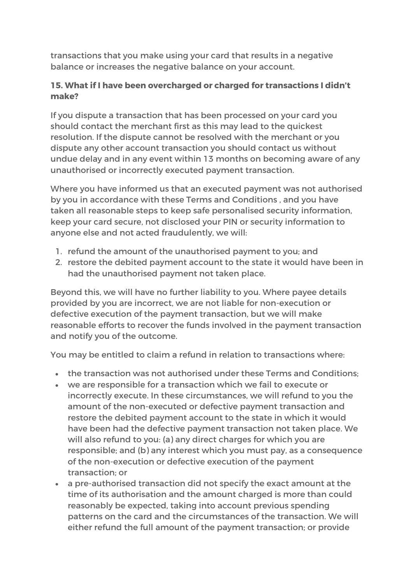transactions that you make using your card that results in a negative balance or increases the negative balance on your account.

## **15. What if I have been overcharged or charged for transactions I didn't make?**

If you dispute a transaction that has been processed on your card you should contact the merchant first as this may lead to the quickest resolution. If the dispute cannot be resolved with the merchant or you dispute any other account transaction you should contact us without undue delay and in any event within 13 months on becoming aware of any unauthorised or incorrectly executed payment transaction.

Where you have informed us that an executed payment was not authorised by you in accordance with these Terms and Conditions , and you have taken all reasonable steps to keep safe personalised security information, keep your card secure, not disclosed your PIN or security information to anyone else and not acted fraudulently, we will:

- 1. refund the amount of the unauthorised payment to you; and
- 2. restore the debited payment account to the state it would have been in had the unauthorised payment not taken place.

Beyond this, we will have no further liability to you. Where payee details provided by you are incorrect, we are not liable for non-execution or defective execution of the payment transaction, but we will make reasonable efforts to recover the funds involved in the payment transaction and notify you of the outcome.

You may be entitled to claim a refund in relation to transactions where:

- the transaction was not authorised under these Terms and Conditions;
- we are responsible for a transaction which we fail to execute or incorrectly execute. In these circumstances, we will refund to you the amount of the non-executed or defective payment transaction and restore the debited payment account to the state in which it would have been had the defective payment transaction not taken place. We will also refund to you: (a) any direct charges for which you are responsible; and (b) any interest which you must pay, as a consequence of the non-execution or defective execution of the payment transaction; or
- a pre-authorised transaction did not specify the exact amount at the time of its authorisation and the amount charged is more than could reasonably be expected, taking into account previous spending patterns on the card and the circumstances of the transaction. We will either refund the full amount of the payment transaction; or provide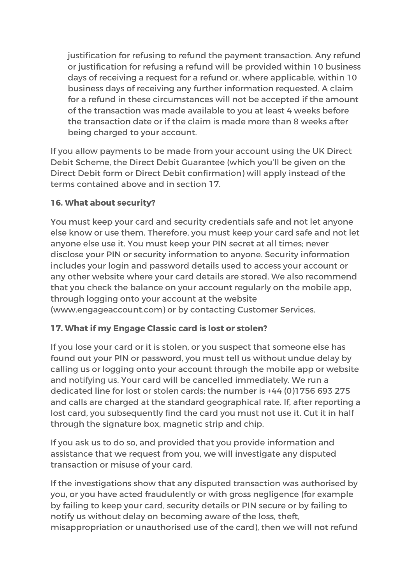justification for refusing to refund the payment transaction. Any refund or justification for refusing a refund will be provided within 10 business days of receiving a request for a refund or, where applicable, within 10 business days of receiving any further information requested. A claim for a refund in these circumstances will not be accepted if the amount of the transaction was made available to you at least 4 weeks before the transaction date or if the claim is made more than 8 weeks after being charged to your account.

If you allow payments to be made from your account using the UK Direct Debit Scheme, the Direct Debit Guarantee (which you'll be given on the Direct Debit form or Direct Debit confirmation) will apply instead of the terms contained above and in section 17.

## **16. What about security?**

You must keep your card and security credentials safe and not let anyone else know or use them. Therefore, you must keep your card safe and not let anyone else use it. You must keep your PIN secret at all times; never disclose your PIN or security information to anyone. Security information includes your login and password details used to access your account or any other website where your card details are stored. We also recommend that you check the balance on your account regularly on the mobile app, through logging onto your account at the website (www.engageaccount.com) or by contacting Customer Services.

## **17. What if my Engage Classic card is lost or stolen?**

If you lose your card or it is stolen, or you suspect that someone else has found out your PIN or password, you must tell us without undue delay by calling us or logging onto your account through the mobile app or website and notifying us. Your card will be cancelled immediately. We run a dedicated line for lost or stolen cards; the number is +44 (0)1756 693 275 and calls are charged at the standard geographical rate. If, after reporting a lost card, you subsequently find the card you must not use it. Cut it in half through the signature box, magnetic strip and chip.

If you ask us to do so, and provided that you provide information and assistance that we request from you, we will investigate any disputed transaction or misuse of your card.

If the investigations show that any disputed transaction was authorised by you, or you have acted fraudulently or with gross negligence (for example by failing to keep your card, security details or PIN secure or by failing to notify us without delay on becoming aware of the loss, theft, misappropriation or unauthorised use of the card), then we will not refund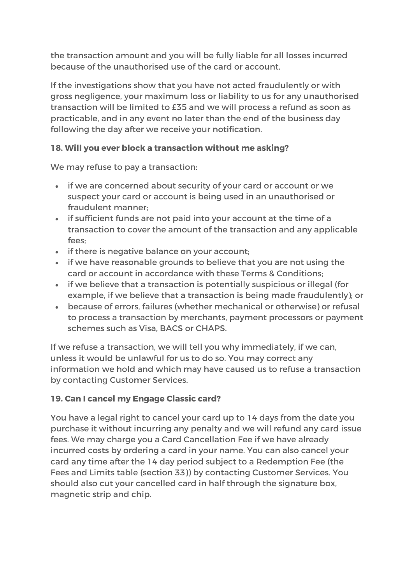the transaction amount and you will be fully liable for all losses incurred because of the unauthorised use of the card or account.

If the investigations show that you have not acted fraudulently or with gross negligence, your maximum loss or liability to us for any unauthorised transaction will be limited to £35 and we will process a refund as soon as practicable, and in any event no later than the end of the business day following the day after we receive your notification.

## **18. Will you ever block a transaction without me asking?**

We may refuse to pay a transaction:

- if we are concerned about security of your card or account or we suspect your card or account is being used in an unauthorised or fraudulent manner;
- if sufficient funds are not paid into your account at the time of a transaction to cover the amount of the transaction and any applicable  $f \circ \circ \cdot$
- if there is negative balance on your account;
- if we have reasonable grounds to believe that you are not using the card or account in accordance with these Terms & Conditions;
- if we believe that a transaction is potentially suspicious or illegal (for example, if we believe that a transaction is being made fraudulently); or
- because of errors, failures (whether mechanical or otherwise) or refusal to process a transaction by merchants, payment processors or payment schemes such as Visa, BACS or CHAPS.

If we refuse a transaction, we will tell you why immediately, if we can, unless it would be unlawful for us to do so. You may correct any information we hold and which may have caused us to refuse a transaction by contacting Customer Services.

# **19. Can I cancel my Engage Classic card?**

You have a legal right to cancel your card up to 14 days from the date you purchase it without incurring any penalty and we will refund any card issue fees. We may charge you a Card Cancellation Fee if we have already incurred costs by ordering a card in your name. You can also cancel your card any time after the 14 day period subject to a Redemption Fee (the Fees and Limits table (section 33)) by contacting Customer Services. You should also cut your cancelled card in half through the signature box, magnetic strip and chip.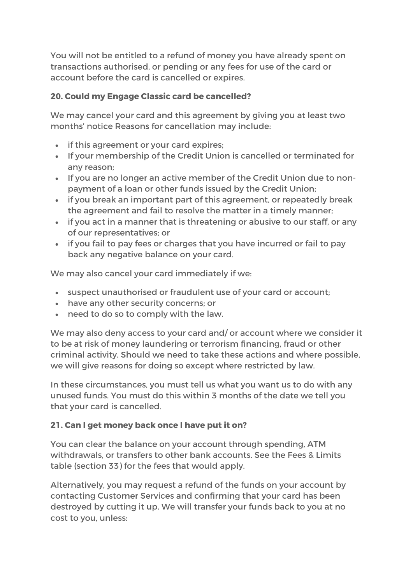You will not be entitled to a refund of money you have already spent on transactions authorised, or pending or any fees for use of the card or account before the card is cancelled or expires.

## **20. Could my Engage Classic card be cancelled?**

We may cancel your card and this agreement by giving you at least two months' notice Reasons for cancellation may include:

- if this agreement or your card expires;
- If your membership of the Credit Union is cancelled or terminated for any reason;
- If you are no longer an active member of the Credit Union due to nonpayment of a loan or other funds issued by the Credit Union;
- if you break an important part of this agreement, or repeatedly break the agreement and fail to resolve the matter in a timely manner;
- if you act in a manner that is threatening or abusive to our staff, or any of our representatives; or
- if you fail to pay fees or charges that you have incurred or fail to pay back any negative balance on your card.

We may also cancel your card immediately if we:

- suspect unauthorised or fraudulent use of your card or account;
- have any other security concerns; or
- need to do so to comply with the law.

We may also deny access to your card and/ or account where we consider it to be at risk of money laundering or terrorism financing, fraud or other criminal activity. Should we need to take these actions and where possible, we will give reasons for doing so except where restricted by law.

In these circumstances, you must tell us what you want us to do with any unused funds. You must do this within 3 months of the date we tell you that your card is cancelled.

# **21. Can I get money back once I have put it on?**

You can clear the balance on your account through spending, ATM withdrawals, or transfers to other bank accounts. See the Fees & Limits table (section 33) for the fees that would apply.

Alternatively, you may request a refund of the funds on your account by contacting Customer Services and confirming that your card has been destroyed by cutting it up. We will transfer your funds back to you at no cost to you, unless: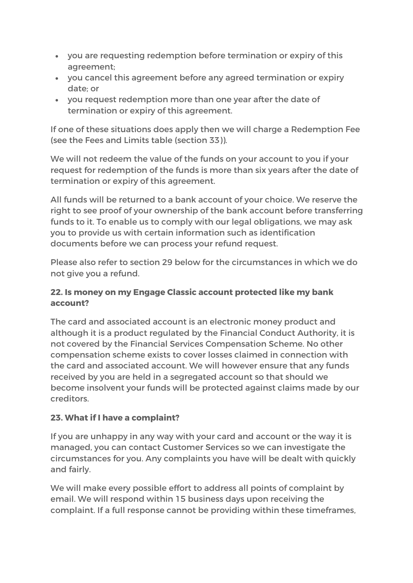- you are requesting redemption before termination or expiry of this agreement;
- you cancel this agreement before any agreed termination or expiry date; or
- you request redemption more than one year after the date of termination or expiry of this agreement.

If one of these situations does apply then we will charge a Redemption Fee (see the Fees and Limits table (section 33)).

We will not redeem the value of the funds on your account to you if your request for redemption of the funds is more than six years after the date of termination or expiry of this agreement.

All funds will be returned to a bank account of your choice. We reserve the right to see proof of your ownership of the bank account before transferring funds to it. To enable us to comply with our legal obligations, we may ask you to provide us with certain information such as identification documents before we can process your refund request.

Please also refer to section 29 below for the circumstances in which we do not give you a refund.

## **22. Is money on my Engage Classic account protected like my bank account?**

The card and associated account is an electronic money product and although it is a product regulated by the Financial Conduct Authority, it is not covered by the Financial Services Compensation Scheme. No other compensation scheme exists to cover losses claimed in connection with the card and associated account. We will however ensure that any funds received by you are held in a segregated account so that should we become insolvent your funds will be protected against claims made by our creditors.

# **23. What if I have a complaint?**

If you are unhappy in any way with your card and account or the way it is managed, you can contact Customer Services so we can investigate the circumstances for you. Any complaints you have will be dealt with quickly and fairly.

We will make every possible effort to address all points of complaint by email. We will respond within 15 business days upon receiving the complaint. If a full response cannot be providing within these timeframes,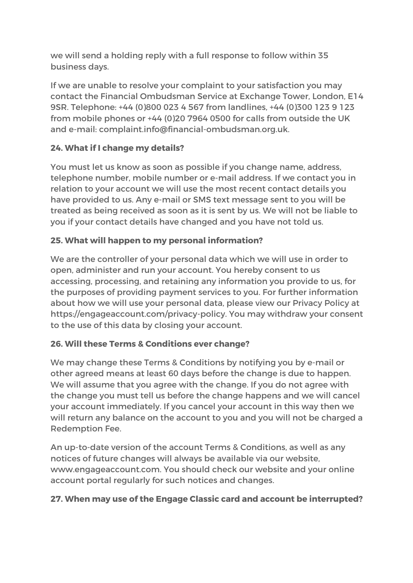we will send a holding reply with a full response to follow within 35 business days.

If we are unable to resolve your complaint to your satisfaction you may contact the Financial Ombudsman Service at Exchange Tower, London, E14 9SR. Telephone: +44 (0)800 023 4 567 from landlines, +44 (0)300 123 9 123 from mobile phones or +44 (0)20 7964 0500 for calls from outside the UK and e-mail: complaint.info@financial-ombudsman.org.uk.

# **24. What if I change my details?**

You must let us know as soon as possible if you change name, address, telephone number, mobile number or e-mail address. If we contact you in relation to your account we will use the most recent contact details you have provided to us. Any e-mail or SMS text message sent to you will be treated as being received as soon as it is sent by us. We will not be liable to you if your contact details have changed and you have not told us.

## **25. What will happen to my personal information?**

We are the controller of your personal data which we will use in order to open, administer and run your account. You hereby consent to us accessing, processing, and retaining any information you provide to us, for the purposes of providing payment services to you. For further information about how we will use your personal data, please view our Privacy Policy at https://engageaccount.com/privacy-policy. You may withdraw your consent to the use of this data by closing your account.

## **26. Will these Terms & Conditions ever change?**

We may change these Terms & Conditions by notifying you by e-mail or other agreed means at least 60 days before the change is due to happen. We will assume that you agree with the change. If you do not agree with the change you must tell us before the change happens and we will cancel your account immediately. If you cancel your account in this way then we will return any balance on the account to you and you will not be charged a Redemption Fee.

An up-to-date version of the account Terms & Conditions, as well as any notices of future changes will always be available via our website, www.engageaccount.com. You should check our website and your online account portal regularly for such notices and changes.

## **27. When may use of the Engage Classic card and account be interrupted?**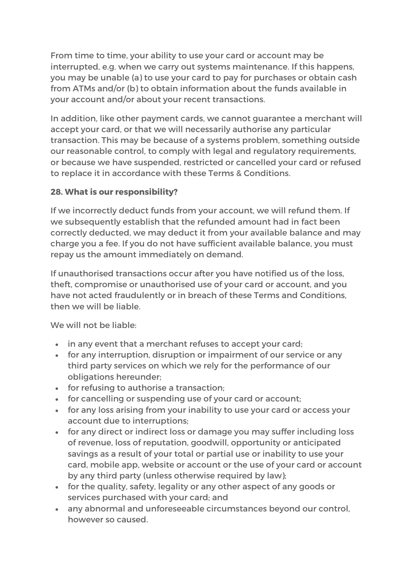From time to time, your ability to use your card or account may be interrupted, e.g. when we carry out systems maintenance. If this happens, you may be unable (a) to use your card to pay for purchases or obtain cash from ATMs and/or (b) to obtain information about the funds available in your account and/or about your recent transactions.

In addition, like other payment cards, we cannot guarantee a merchant will accept your card, or that we will necessarily authorise any particular transaction. This may be because of a systems problem, something outside our reasonable control, to comply with legal and regulatory requirements, or because we have suspended, restricted or cancelled your card or refused to replace it in accordance with these Terms & Conditions.

## **28. What is our responsibility?**

If we incorrectly deduct funds from your account, we will refund them. If we subsequently establish that the refunded amount had in fact been correctly deducted, we may deduct it from your available balance and may charge you a fee. If you do not have sufficient available balance, you must repay us the amount immediately on demand.

If unauthorised transactions occur after you have notified us of the loss, theft, compromise or unauthorised use of your card or account, and you have not acted fraudulently or in breach of these Terms and Conditions, then we will be liable.

We will not be liable:

- in any event that a merchant refuses to accept your card;
- for any interruption, disruption or impairment of our service or any third party services on which we rely for the performance of our obligations hereunder;
- for refusing to authorise a transaction;
- for cancelling or suspending use of your card or account;
- for any loss arising from your inability to use your card or access your account due to interruptions;
- for any direct or indirect loss or damage you may suffer including loss of revenue, loss of reputation, goodwill, opportunity or anticipated savings as a result of your total or partial use or inability to use your card, mobile app, website or account or the use of your card or account by any third party (unless otherwise required by law);
- for the quality, safety, legality or any other aspect of any goods or services purchased with your card; and
- any abnormal and unforeseeable circumstances beyond our control, however so caused.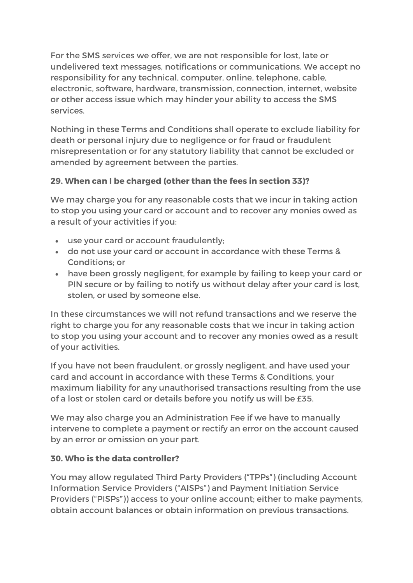For the SMS services we offer, we are not responsible for lost, late or undelivered text messages, notifications or communications. We accept no responsibility for any technical, computer, online, telephone, cable, electronic, software, hardware, transmission, connection, internet, website or other access issue which may hinder your ability to access the SMS services.

Nothing in these Terms and Conditions shall operate to exclude liability for death or personal injury due to negligence or for fraud or fraudulent misrepresentation or for any statutory liability that cannot be excluded or amended by agreement between the parties.

## **29. When can I be charged (other than the fees in section 33)?**

We may charge you for any reasonable costs that we incur in taking action to stop you using your card or account and to recover any monies owed as a result of your activities if you:

- use your card or account fraudulently;
- do not use your card or account in accordance with these Terms & Conditions; or
- have been grossly negligent, for example by failing to keep your card or PIN secure or by failing to notify us without delay after your card is lost, stolen, or used by someone else.

In these circumstances we will not refund transactions and we reserve the right to charge you for any reasonable costs that we incur in taking action to stop you using your account and to recover any monies owed as a result of your activities.

If you have not been fraudulent, or grossly negligent, and have used your card and account in accordance with these Terms & Conditions, your maximum liability for any unauthorised transactions resulting from the use of a lost or stolen card or details before you notify us will be £35.

We may also charge you an Administration Fee if we have to manually intervene to complete a payment or rectify an error on the account caused by an error or omission on your part.

## **30. Who is the data controller?**

You may allow regulated Third Party Providers ("TPPs") (including Account Information Service Providers ("AISPs") and Payment Initiation Service Providers ("PISPs")) access to your online account; either to make payments, obtain account balances or obtain information on previous transactions.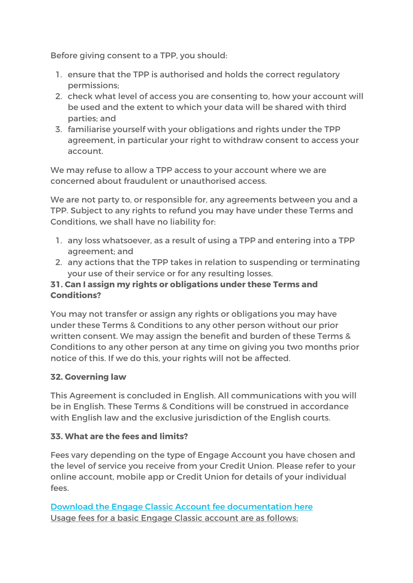Before giving consent to a TPP, you should:

- 1. ensure that the TPP is authorised and holds the correct regulatory permissions;
- 2. check what level of access you are consenting to, how your account will be used and the extent to which your data will be shared with third parties; and
- 3. familiarise yourself with your obligations and rights under the TPP agreement, in particular your right to withdraw consent to access your account.

We may refuse to allow a TPP access to your account where we are concerned about fraudulent or unauthorised access.

We are not party to, or responsible for, any agreements between you and a TPP. Subject to any rights to refund you may have under these Terms and Conditions, we shall have no liability for:

- 1. any loss whatsoever, as a result of using a TPP and entering into a TPP agreement; and
- 2. any actions that the TPP takes in relation to suspending or terminating your use of their service or for any resulting losses.

## **31. Can I assign my rights or obligations under these Terms and Conditions?**

You may not transfer or assign any rights or obligations you may have under these Terms & Conditions to any other person without our prior written consent. We may assign the benefit and burden of these Terms & Conditions to any other person at any time on giving you two months prior notice of this. If we do this, your rights will not be affected.

## **32. Governing law**

This Agreement is concluded in English. All communications with you will be in English. These Terms & Conditions will be construed in accordance with English law and the exclusive jurisdiction of the English courts.

# **33. What are the fees and limits?**

Fees vary depending on the type of Engage Account you have chosen and the level of service you receive from your Credit Union. Please refer to your online account, mobile app or Credit Union for details of your individual fees.

Download the Engage Classic Account fee documentation here Usage fees for a basic Engage Classic account are as follows: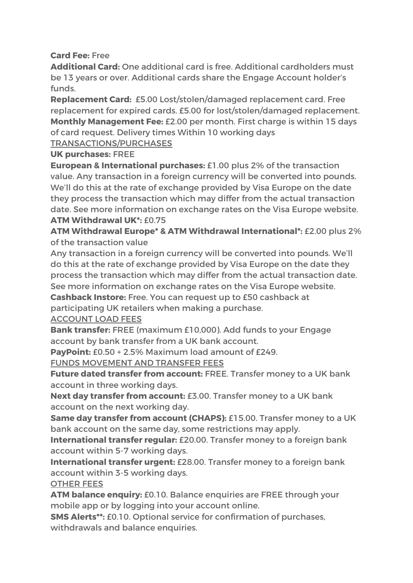**Card Fee:** Free

**Additional Card:** One additional card is free. Additional cardholders must be 13 years or over. Additional cards share the Engage Account holder's funds.

**Replacement Card:** £5.00 Lost/stolen/damaged replacement card. Free replacement for expired cards. £5.00 for lost/stolen/damaged replacement. **Monthly Management Fee:** £2.00 per month. First charge is within 15 days of card request. Delivery times Within 10 working days

TRANSACTIONS/PURCHASES

**UK purchases:** FREE

**European & International purchases:** £1.00 plus 2% of the transaction value. Any transaction in a foreign currency will be converted into pounds. We'll do this at the rate of exchange provided by Visa Europe on the date they process the transaction which may differ from the actual transaction date. See more information on exchange rates on the Visa Europe website. **ATM Withdrawal UK\*:** £0.75

**ATM Withdrawal Europe\* & ATM Withdrawal International\*:** £2.00 plus 2% of the transaction value

Any transaction in a foreign currency will be converted into pounds. We'll do this at the rate of exchange provided by Visa Europe on the date they process the transaction which may differ from the actual transaction date. See more information on exchange rates on the Visa Europe website.

**Cashback Instore:** Free. You can request up to £50 cashback at participating UK retailers when making a purchase.

## ACCOUNT LOAD FEES

**Bank transfer:** FREE (maximum £10,000). Add funds to your Engage account by bank transfer from a UK bank account.

**PayPoint:** £0.50 + 2.5% Maximum load amount of £249.

FUNDS MOVEMENT AND TRANSFER FEES

**Future dated transfer from account:** FREE. Transfer money to a UK bank account in three working days.

**Next day transfer from account:** £3.00. Transfer money to a UK bank account on the next working day.

**Same day transfer from account (CHAPS):** £15.00. Transfer money to a UK bank account on the same day, some restrictions may apply.

**International transfer regular:** £20.00. Transfer money to a foreign bank account within 5-7 working days.

**International transfer urgent:** £28.00. Transfer money to a foreign bank account within 3-5 working days.

OTHER FEES

**ATM balance enquiry:** £0.10. Balance enquiries are FREE through your mobile app or by logging into your account online.

**SMS Alerts\*\*:** £0.10. Optional service for confirmation of purchases, withdrawals and balance enquiries.